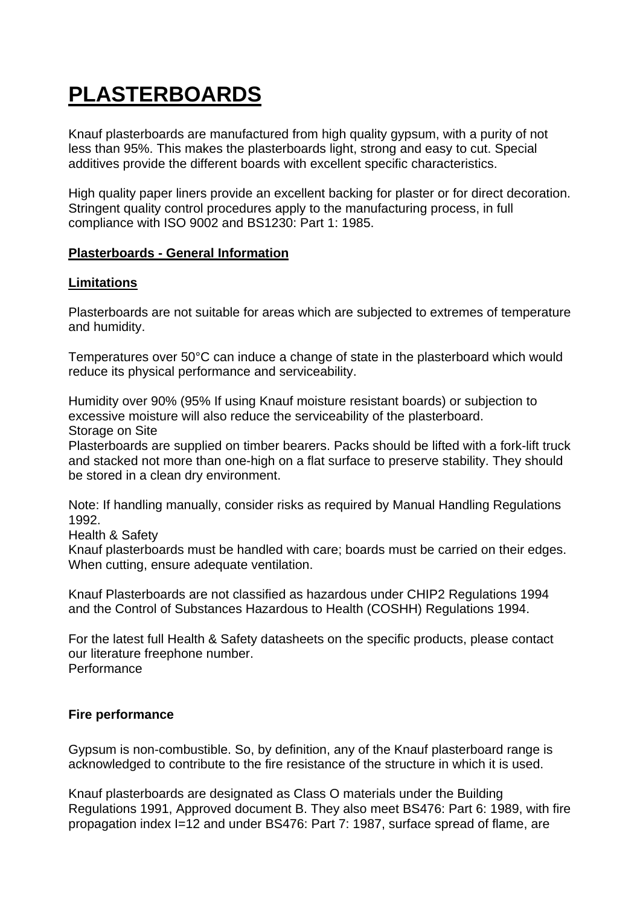# **PLASTERBOARDS**

Knauf plasterboards are manufactured from high quality gypsum, with a purity of not less than 95%. This makes the plasterboards light, strong and easy to cut. Special additives provide the different boards with excellent specific characteristics.

High quality paper liners provide an excellent backing for plaster or for direct decoration. Stringent quality control procedures apply to the manufacturing process, in full compliance with ISO 9002 and BS1230: Part 1: 1985.

#### **Plasterboards - General Information**

## **Limitations**

Plasterboards are not suitable for areas which are subjected to extremes of temperature and humidity.

Temperatures over 50°C can induce a change of state in the plasterboard which would reduce its physical performance and serviceability.

Humidity over 90% (95% If using Knauf moisture resistant boards) or subjection to excessive moisture will also reduce the serviceability of the plasterboard. Storage on Site

Plasterboards are supplied on timber bearers. Packs should be lifted with a fork-lift truck and stacked not more than one-high on a flat surface to preserve stability. They should be stored in a clean dry environment.

Note: If handling manually, consider risks as required by Manual Handling Regulations 1992.

Health & Safety

Knauf plasterboards must be handled with care; boards must be carried on their edges. When cutting, ensure adequate ventilation.

Knauf Plasterboards are not classified as hazardous under CHIP2 Regulations 1994 and the Control of Substances Hazardous to Health (COSHH) Regulations 1994.

For the latest full Health & Safety datasheets on the specific products, please contact our literature freephone number. **Performance** 

# **Fire performance**

Gypsum is non-combustible. So, by definition, any of the Knauf plasterboard range is acknowledged to contribute to the fire resistance of the structure in which it is used.

Knauf plasterboards are designated as Class O materials under the Building Regulations 1991, Approved document B. They also meet BS476: Part 6: 1989, with fire propagation index I=12 and under BS476: Part 7: 1987, surface spread of flame, are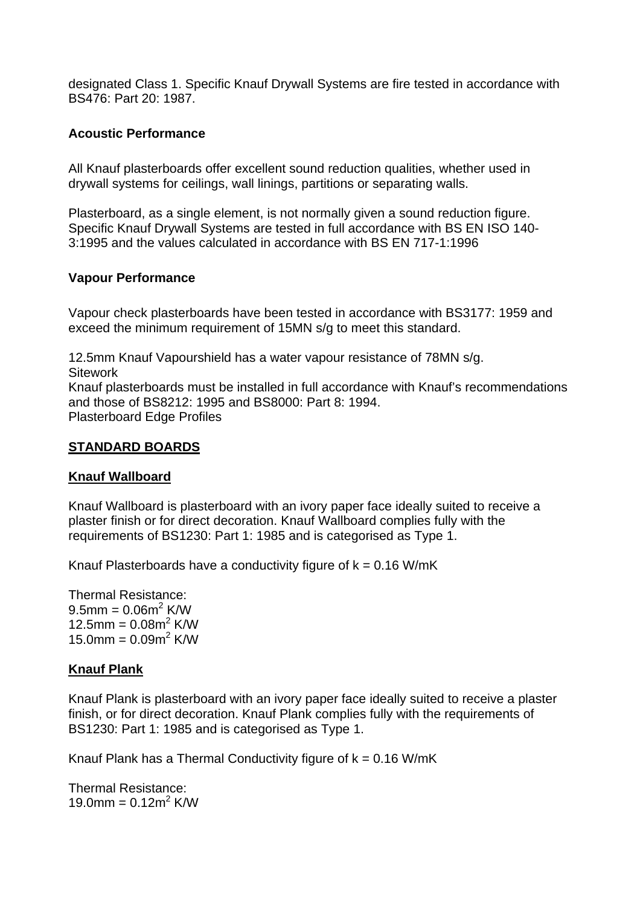designated Class 1. Specific Knauf Drywall Systems are fire tested in accordance with BS476: Part 20: 1987.

### **Acoustic Performance**

All Knauf plasterboards offer excellent sound reduction qualities, whether used in drywall systems for ceilings, wall linings, partitions or separating walls.

Plasterboard, as a single element, is not normally given a sound reduction figure. Specific Knauf Drywall Systems are tested in full accordance with BS EN ISO 140- 3:1995 and the values calculated in accordance with BS EN 717-1:1996

## **Vapour Performance**

Vapour check plasterboards have been tested in accordance with BS3177: 1959 and exceed the minimum requirement of 15MN s/g to meet this standard.

12.5mm Knauf Vapourshield has a water vapour resistance of 78MN s/g. **Sitework** Knauf plasterboards must be installed in full accordance with Knauf's recommendations and those of BS8212: 1995 and BS8000: Part 8: 1994. Plasterboard Edge Profiles

## **STANDARD BOARDS**

#### **Knauf Wallboard**

Knauf Wallboard is plasterboard with an ivory paper face ideally suited to receive a plaster finish or for direct decoration. Knauf Wallboard complies fully with the requirements of BS1230: Part 1: 1985 and is categorised as Type 1.

Knauf Plasterboards have a conductivity figure of  $k = 0.16$  W/mK

Thermal Resistance:  $9.5$ mm = 0.06m<sup>2</sup> K/W 12.5mm =  $0.08m^2$  K/W 15.0mm =  $0.09m^2$  K/W

#### **Knauf Plank**

Knauf Plank is plasterboard with an ivory paper face ideally suited to receive a plaster finish, or for direct decoration. Knauf Plank complies fully with the requirements of BS1230: Part 1: 1985 and is categorised as Type 1.

Knauf Plank has a Thermal Conductivity figure of  $k = 0.16$  W/mK

Thermal Resistance: 19.0mm =  $0.12m^2$  K/W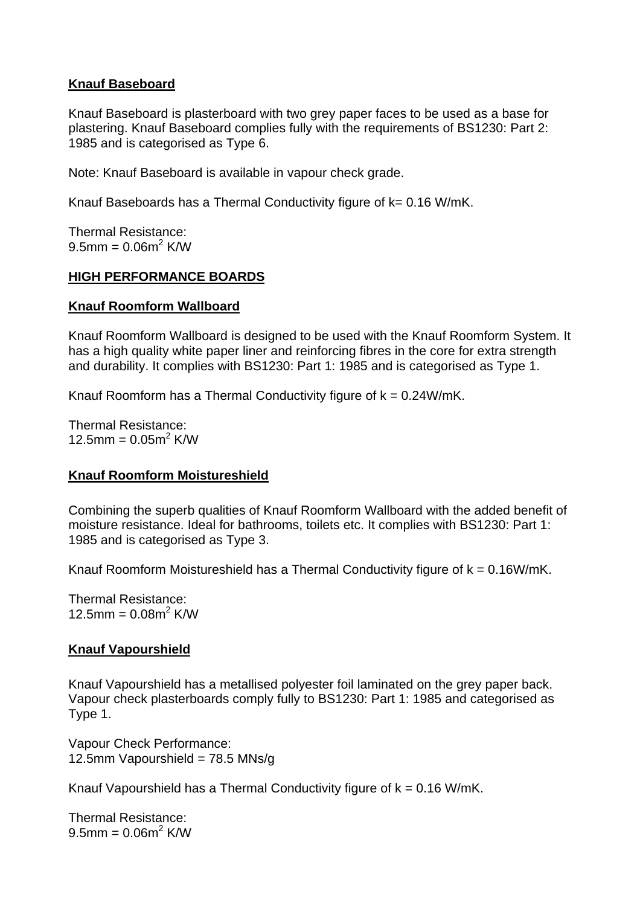## **Knauf Baseboard**

Knauf Baseboard is plasterboard with two grey paper faces to be used as a base for plastering. Knauf Baseboard complies fully with the requirements of BS1230: Part 2: 1985 and is categorised as Type 6.

Note: Knauf Baseboard is available in vapour check grade.

Knauf Baseboards has a Thermal Conductivity figure of k= 0.16 W/mK.

Thermal Resistance:  $9.5$ mm = 0.06m<sup>2</sup> K/W

# **HIGH PERFORMANCE BOARDS**

## **Knauf Roomform Wallboard**

Knauf Roomform Wallboard is designed to be used with the Knauf Roomform System. It has a high quality white paper liner and reinforcing fibres in the core for extra strength and durability. It complies with BS1230: Part 1: 1985 and is categorised as Type 1.

Knauf Roomform has a Thermal Conductivity figure of  $k = 0.24W/mK$ .

Thermal Resistance: 12.5mm =  $0.05m^2$  K/W

# **Knauf Roomform Moistureshield**

Combining the superb qualities of Knauf Roomform Wallboard with the added benefit of moisture resistance. Ideal for bathrooms, toilets etc. It complies with BS1230: Part 1: 1985 and is categorised as Type 3.

Knauf Roomform Moistureshield has a Thermal Conductivity figure of  $k = 0.16W/mK$ .

Thermal Resistance: 12.5mm =  $0.08m^2$  K/W

#### **Knauf Vapourshield**

Knauf Vapourshield has a metallised polyester foil laminated on the grey paper back. Vapour check plasterboards comply fully to BS1230: Part 1: 1985 and categorised as Type 1.

Vapour Check Performance: 12.5mm Vapourshield =  $78.5$  MNs/g

Knauf Vapourshield has a Thermal Conductivity figure of  $k = 0.16$  W/mK.

Thermal Resistance:  $9.5$ mm = 0.06m<sup>2</sup> K/W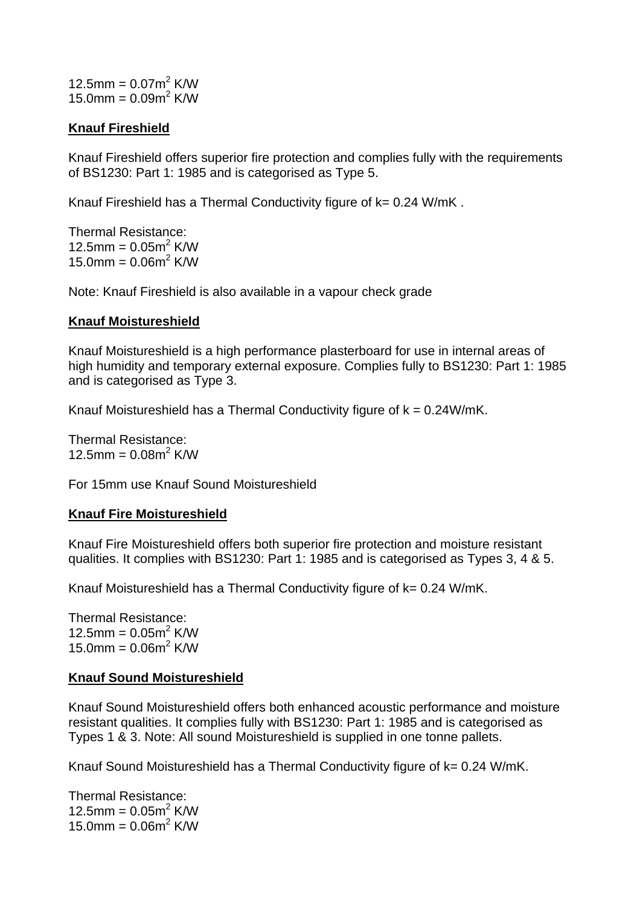12.5mm =  $0.07m^2$  K/W 15.0mm =  $0.09m^2$  K/W

## **Knauf Fireshield**

Knauf Fireshield offers superior fire protection and complies fully with the requirements of BS1230: Part 1: 1985 and is categorised as Type 5.

Knauf Fireshield has a Thermal Conductivity figure of k= 0.24 W/mK.

Thermal Resistance: 12.5mm =  $0.05m^2$  K/W  $15.0$ mm =  $0.06$ m<sup>2</sup> K/W

Note: Knauf Fireshield is also available in a vapour check grade

#### **Knauf Moistureshield**

Knauf Moistureshield is a high performance plasterboard for use in internal areas of high humidity and temporary external exposure. Complies fully to BS1230: Part 1: 1985 and is categorised as Type 3.

Knauf Moistureshield has a Thermal Conductivity figure of  $k = 0.24W/mK$ .

Thermal Resistance: 12.5mm =  $0.08m^2$  K/W

For 15mm use Knauf Sound Moistureshield

# **Knauf Fire Moistureshield**

Knauf Fire Moistureshield offers both superior fire protection and moisture resistant qualities. It complies with BS1230: Part 1: 1985 and is categorised as Types 3, 4 & 5.

Knauf Moistureshield has a Thermal Conductivity figure of  $k = 0.24$  W/mK.

Thermal Resistance: 12.5mm =  $0.05m^2$  K/W  $15.0$ mm =  $0.06$ m<sup>2</sup> K/W

# **Knauf Sound Moistureshield**

Knauf Sound Moistureshield offers both enhanced acoustic performance and moisture resistant qualities. It complies fully with BS1230: Part 1: 1985 and is categorised as Types 1 & 3. Note: All sound Moistureshield is supplied in one tonne pallets.

Knauf Sound Moistureshield has a Thermal Conductivity figure of k= 0.24 W/mK.

Thermal Resistance: 12.5mm =  $0.05m^2$  K/W 15.0mm =  $0.06m^2$  K/W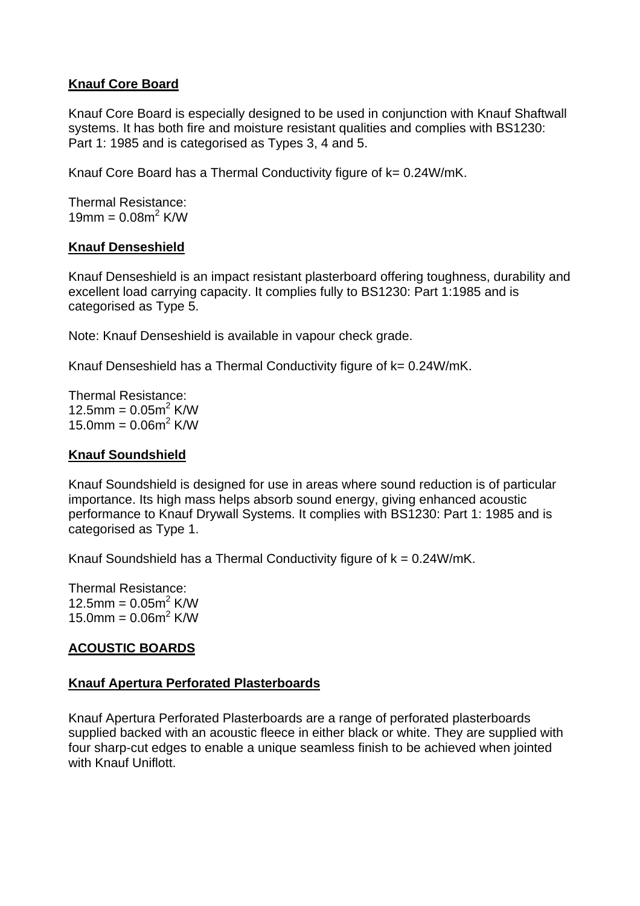# **Knauf Core Board**

Knauf Core Board is especially designed to be used in conjunction with Knauf Shaftwall systems. It has both fire and moisture resistant qualities and complies with BS1230: Part 1: 1985 and is categorised as Types 3, 4 and 5.

Knauf Core Board has a Thermal Conductivity figure of k= 0.24W/mK.

Thermal Resistance:  $19$ mm = 0.08m<sup>2</sup> K/W

## **Knauf Denseshield**

Knauf Denseshield is an impact resistant plasterboard offering toughness, durability and excellent load carrying capacity. It complies fully to BS1230: Part 1:1985 and is categorised as Type 5.

Note: Knauf Denseshield is available in vapour check grade.

Knauf Denseshield has a Thermal Conductivity figure of k= 0.24W/mK.

Thermal Resistance: 12.5mm =  $0.05m^2$  K/W 15.0mm =  $0.06m^2$  K/W

### **Knauf Soundshield**

Knauf Soundshield is designed for use in areas where sound reduction is of particular importance. Its high mass helps absorb sound energy, giving enhanced acoustic performance to Knauf Drywall Systems. It complies with BS1230: Part 1: 1985 and is categorised as Type 1.

Knauf Soundshield has a Thermal Conductivity figure of  $k = 0.24W/mK$ .

Thermal Resistance: 12.5mm =  $0.05m^2$  K/W 15.0mm =  $0.06m^2$  K/W

# **ACOUSTIC BOARDS**

# **Knauf Apertura Perforated Plasterboards**

Knauf Apertura Perforated Plasterboards are a range of perforated plasterboards supplied backed with an acoustic fleece in either black or white. They are supplied with four sharp-cut edges to enable a unique seamless finish to be achieved when jointed with Knauf Uniflott.